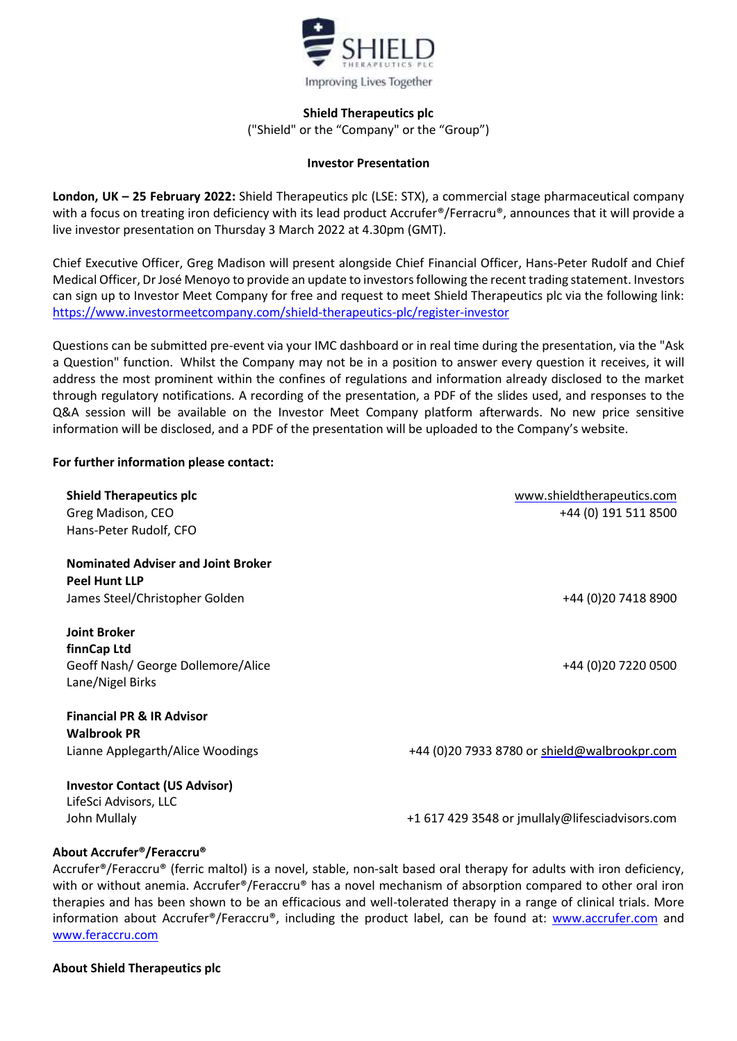

# **Shield Therapeutics plc**

("Shield" or the "Company" or the "Group")

## **Investor Presentation**

**London, UK – 25 February 2022:** Shield Therapeutics plc (LSE: STX), a commercial stage pharmaceutical company with a focus on treating iron deficiency with its lead product Accrufer<sup>®</sup>/Ferracru®, announces that it will provide a live investor presentation on Thursday 3 March 2022 at 4.30pm (GMT).

Chief Executive Officer, Greg Madison will present alongside Chief Financial Officer, Hans-Peter Rudolf and Chief Medical Officer, DrJosé Menoyo to provide an update to investors following the recent trading statement. Investors can sign up to Investor Meet Company for free and request to meet Shield Therapeutics plc via the following link: <https://www.investormeetcompany.com/shield-therapeutics-plc/register-investor>

Questions can be submitted pre-event via your IMC dashboard or in real time during the presentation, via the "Ask a Question" function. Whilst the Company may not be in a position to answer every question it receives, it will address the most prominent within the confines of regulations and information already disclosed to the market through regulatory notifications. A recording of the presentation, a PDF of the slides used, and responses to the Q&A session will be available on the Investor Meet Company platform afterwards. No new price sensitive information will be disclosed, and a PDF of the presentation will be uploaded to the Company's website.

# **For further information please contact:**

| <b>Shield Therapeutics plc</b><br>Greg Madison, CEO<br>Hans-Peter Rudolf, CFO                       | www.shieldtherapeutics.com<br>+44 (0) 191 511 8500 |
|-----------------------------------------------------------------------------------------------------|----------------------------------------------------|
| <b>Nominated Adviser and Joint Broker</b><br><b>Peel Hunt LLP</b><br>James Steel/Christopher Golden | +44 (0) 20 7418 8900                               |
| <b>Joint Broker</b><br>finnCap Ltd<br>Geoff Nash/ George Dollemore/Alice<br>Lane/Nigel Birks        | +44 (0) 20 7220 0500                               |
| <b>Financial PR &amp; IR Advisor</b><br><b>Walbrook PR</b><br>Lianne Applegarth/Alice Woodings      | +44 (0)20 7933 8780 or shield@walbrookpr.com       |
| <b>Investor Contact (US Advisor)</b><br>LifeSci Advisors, LLC<br>John Mullaly                       | +1 617 429 3548 or jmullaly@lifesciadvisors.com    |

## **About Accrufer®/Feraccru®**

Accrufer®/Feraccru® (ferric maltol) is a novel, stable, non-salt based oral therapy for adults with iron deficiency, with or without anemia. Accrufer<sup>®</sup>/Feraccru<sup>®</sup> has a novel mechanism of absorption compared to other oral iron therapies and has been shown to be an efficacious and well-tolerated therapy in a range of clinical trials. More information about Accrufer®/Feraccru®, including the product label, can be found at: [www.accrufer.com](http://www.accrufer.com/) and [www.feraccru.com](http://www.feraccru.com/)

## **About Shield Therapeutics plc**